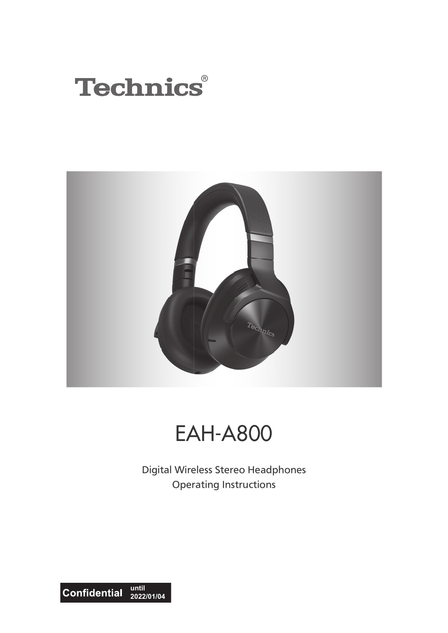



# EAH-A800

Digital Wireless Stereo Headphones Operating Instructions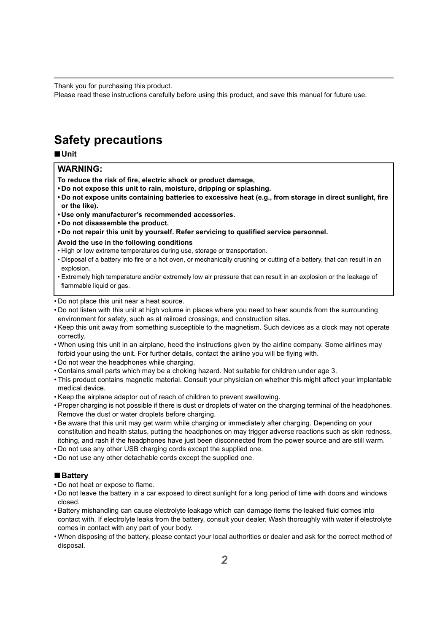Thank you for purchasing this product.

Please read these instructions carefully before using this product, and save this manual for future use.

## <span id="page-1-0"></span>**Safety precautions**

∫**Unit**

### **WARNING:**

**To reduce the risk of fire, electric shock or product damage,**

- **Do not expose this unit to rain, moisture, dripping or splashing.**
- **Do not expose units containing batteries to excessive heat (e.g., from storage in direct sunlight, fire or the like).**
- **Use only manufacturer's recommended accessories.**
- **Do not disassemble the product.**
- **Do not repair this unit by yourself. Refer servicing to qualified service personnel.**
- **Avoid the use in the following conditions**
- High or low extreme temperatures during use, storage or transportation.
- Disposal of a battery into fire or a hot oven, or mechanically crushing or cutting of a battery, that can result in an explosion.
- Extremely high temperature and/or extremely low air pressure that can result in an explosion or the leakage of flammable liquid or gas.
- Do not place this unit near a heat source.
- Do not listen with this unit at high volume in places where you need to hear sounds from the surrounding environment for safety, such as at railroad crossings, and construction sites.
- Keep this unit away from something susceptible to the magnetism. Such devices as a clock may not operate correctly.
- When using this unit in an airplane, heed the instructions given by the airline company. Some airlines may forbid your using the unit. For further details, contact the airline you will be flying with.
- Do not wear the headphones while charging.
- Contains small parts which may be a choking hazard. Not suitable for children under age 3.
- This product contains magnetic material. Consult your physician on whether this might affect your implantable medical device.
- Keep the airplane adaptor out of reach of children to prevent swallowing.
- Proper charging is not possible if there is dust or droplets of water on the charging terminal of the headphones. Remove the dust or water droplets before charging.
- Be aware that this unit may get warm while charging or immediately after charging. Depending on your constitution and health status, putting the headphones on may trigger adverse reactions such as skin redness, itching, and rash if the headphones have just been disconnected from the power source and are still warm.
- Do not use any other USB charging cords except the supplied one.
- Do not use any other detachable cords except the supplied one.

### ∫**Battery**

- Do not heat or expose to flame.
- Do not leave the battery in a car exposed to direct sunlight for a long period of time with doors and windows closed.
- Battery mishandling can cause electrolyte leakage which can damage items the leaked fluid comes into contact with. If electrolyte leaks from the battery, consult your dealer. Wash thoroughly with water if electrolyte comes in contact with any part of your body.
- When disposing of the battery, please contact your local authorities or dealer and ask for the correct method of disposal.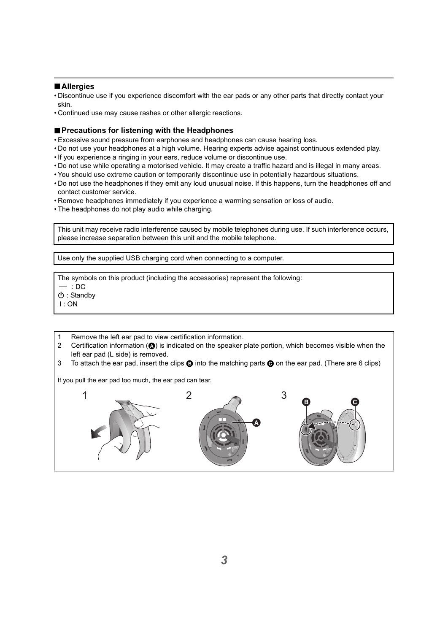### ∫**Allergies**

- Discontinue use if you experience discomfort with the ear pads or any other parts that directly contact your skin.
- Continued use may cause rashes or other allergic reactions.

### ∫**Precautions for listening with the Headphones**

- Excessive sound pressure from earphones and headphones can cause hearing loss.
- Do not use your headphones at a high volume. Hearing experts advise against continuous extended play.
- If you experience a ringing in your ears, reduce volume or discontinue use.
- Do not use while operating a motorised vehicle. It may create a traffic hazard and is illegal in many areas.
- You should use extreme caution or temporarily discontinue use in potentially hazardous situations.
- Do not use the headphones if they emit any loud unusual noise. If this happens, turn the headphones off and contact customer service.
- Remove headphones immediately if you experience a warming sensation or loss of audio.
- The headphones do not play audio while charging.

This unit may receive radio interference caused by mobile telephones during use. If such interference occurs, please increase separation between this unit and the mobile telephone.

Use only the supplied USB charging cord when connecting to a computer.

The symbols on this product (including the accessories) represent the following:

 $=$  : DC

Í : Standby

- I : ON
- 1 Remove the left ear pad to view certification information.
- 2 Certification information  $(\bigcirc)$  is indicated on the speaker plate portion, which becomes visible when the left ear pad (L side) is removed.
- 3 To attach the ear pad, insert the clips  $\bigcirc$  into the matching parts  $\bigcirc$  on the ear pad. (There are 6 clips)

If you pull the ear pad too much, the ear pad can tear.

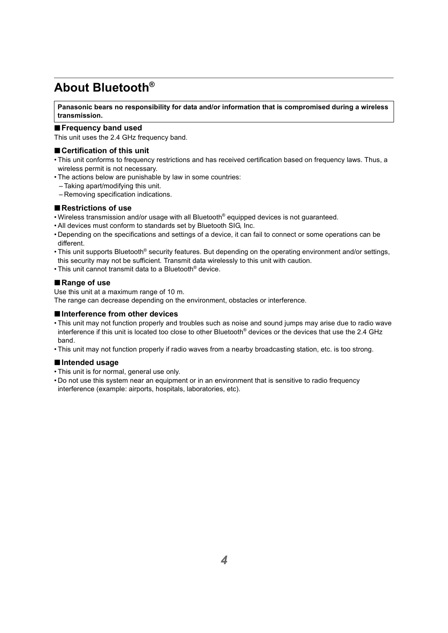## <span id="page-3-0"></span>**About Bluetooth®**

### **Panasonic bears no responsibility for data and/or information that is compromised during a wireless transmission.**

### ∫**Frequency band used**

This unit uses the 2.4 GHz frequency band.

### ∫**Certification of this unit**

- This unit conforms to frequency restrictions and has received certification based on frequency laws. Thus, a wireless permit is not necessary.
- The actions below are punishable by law in some countries:
	- Taking apart/modifying this unit.
	- Removing specification indications.

### ∫**Restrictions of use**

- Wireless transmission and/or usage with all Bluetooth® equipped devices is not guaranteed.
- All devices must conform to standards set by Bluetooth SIG, Inc.
- Depending on the specifications and settings of a device, it can fail to connect or some operations can be different.
- This unit supports Bluetooth® security features. But depending on the operating environment and/or settings, this security may not be sufficient. Transmit data wirelessly to this unit with caution.
- This unit cannot transmit data to a Bluetooth® device.

### ∫**Range of use**

Use this unit at a maximum range of 10 m.

The range can decrease depending on the environment, obstacles or interference.

### ∫**Interference from other devices**

- This unit may not function properly and troubles such as noise and sound jumps may arise due to radio wave interference if this unit is located too close to other Bluetooth® devices or the devices that use the 2.4 GHz band.
- This unit may not function properly if radio waves from a nearby broadcasting station, etc. is too strong.

### ∫**Intended usage**

- This unit is for normal, general use only.
- Do not use this system near an equipment or in an environment that is sensitive to radio frequency interference (example: airports, hospitals, laboratories, etc).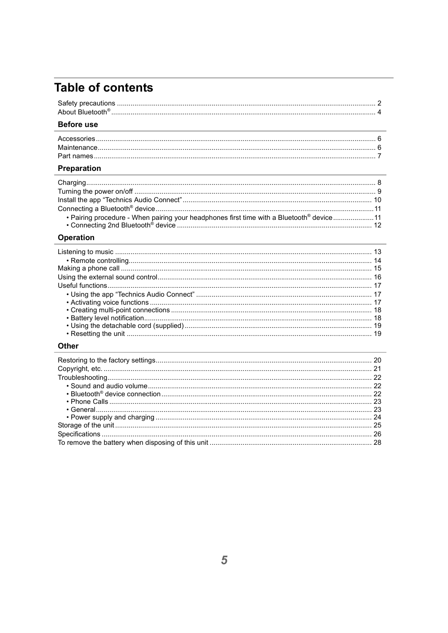## **Table of contents**

| About Bluetooth |  |
|-----------------|--|
|                 |  |

### **Before use**

### Preparation

| . Pairing procedure - When pairing your headphones first time with a Bluetooth® device  11 |  |
|--------------------------------------------------------------------------------------------|--|
|                                                                                            |  |

### Operation

### Other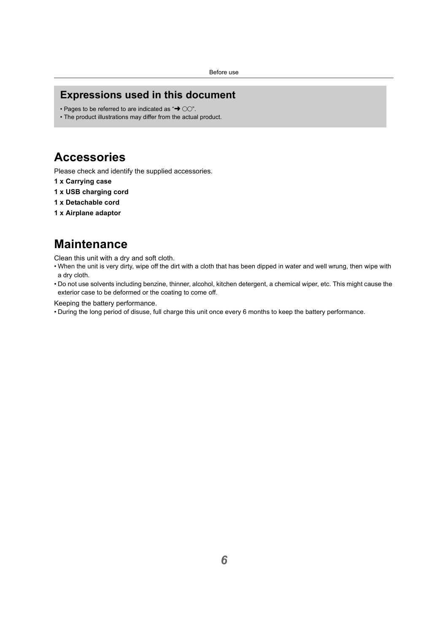## <span id="page-5-0"></span>**Expressions used in this document**

- Pages to be referred to are indicated as " $\rightarrow$  00".
- The product illustrations may differ from the actual product.

## <span id="page-5-1"></span>**Accessories**

Please check and identify the supplied accessories.

- **1 x Carrying case**
- **1 x USB charging cord**
- **1 x Detachable cord**
- **1 x Airplane adaptor**

## <span id="page-5-2"></span>**Maintenance**

Clean this unit with a dry and soft cloth.

- When the unit is very dirty, wipe off the dirt with a cloth that has been dipped in water and well wrung, then wipe with a dry cloth.
- Do not use solvents including benzine, thinner, alcohol, kitchen detergent, a chemical wiper, etc. This might cause the exterior case to be deformed or the coating to come off.

Keeping the battery performance.

• During the long period of disuse, full charge this unit once every 6 months to keep the battery performance.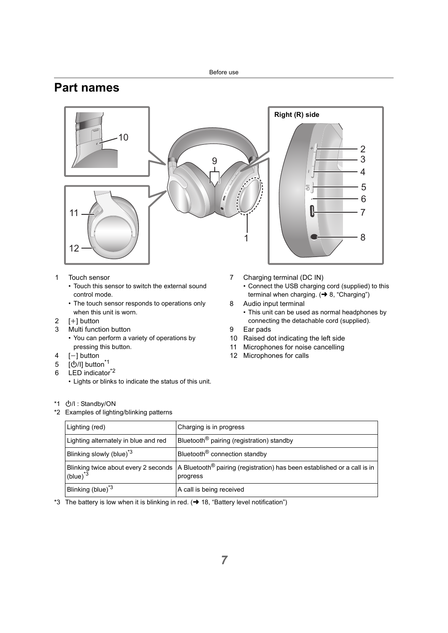## <span id="page-6-0"></span>**Part names**



- 1 Touch sensor
	- Touch this sensor to switch the external sound control mode.
	- The touch sensor responds to operations only when this unit is worn.
- 2  $[I+1]$  button
- 3 Multi function button
	- You can perform a variety of operations by pressing this button.
- $4$  [-1 button
- 5 [少/l] button<sup>\*1</sup>
- 6 LED indicator<sup>\*2</sup>
	- Lights or blinks to indicate the status of this unit.

\*1 (小) : Standby/ON

\*2 Examples of lighting/blinking patterns

- 7 Charging terminal (DC IN)
	- Connect the USB charging cord (supplied) to this terminal when charging.  $\leftrightarrow$  [8, "Charging"\)](#page-7-1)
- 8 Audio input terminal
	- This unit can be used as normal headphones by connecting the detachable cord (supplied).
- 9 Ear pads
- 10 Raised dot indicating the left side
- 11 Microphones for noise cancelling
- 12 Microphones for calls

| Lighting (red)                       | Charging is in progress                                                                                                                       |
|--------------------------------------|-----------------------------------------------------------------------------------------------------------------------------------------------|
| Lighting alternately in blue and red | Bluetooth <sup>®</sup> pairing (registration) standby                                                                                         |
| Blinking slowly (blue) <sup>3</sup>  | Bluetooth <sup>®</sup> connection standby                                                                                                     |
| (blue) $3^$                          | Blinking twice about every 2 seconds $\vert$ A Bluetooth <sup>®</sup> pairing (registration) has been established or a call is in<br>progress |
| Blinking (blue) <sup>*3</sup>        | A call is being received                                                                                                                      |

\*3 The battery is low when it is blinking in red.  $\leftrightarrow$  [18, "Battery level notification"\)](#page-17-1)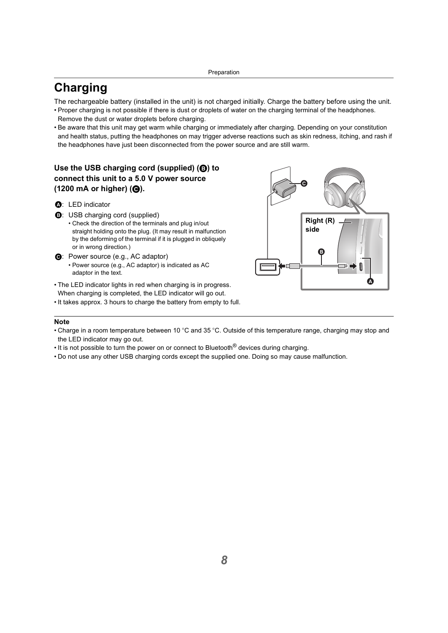## <span id="page-7-1"></span><span id="page-7-0"></span>**Charging**

The rechargeable battery (installed in the unit) is not charged initially. Charge the battery before using the unit.

- Proper charging is not possible if there is dust or droplets of water on the charging terminal of the headphones. Remove the dust or water droplets before charging.
- Be aware that this unit may get warm while charging or immediately after charging. Depending on your constitution and health status, putting the headphones on may trigger adverse reactions such as skin redness, itching, and rash if the headphones have just been disconnected from the power source and are still warm.

### **Use the USB charging cord (supplied) (**B**) to connect this unit to a 5.0 V power source (1200 mA or higher) (**C**).**

- A: LED indicator
- B: USB charging cord (supplied)
	- Check the direction of the terminals and plug in/out straight holding onto the plug. (It may result in malfunction by the deforming of the terminal if it is plugged in obliquely or in wrong direction.)
- $\Theta$ **:** Power source (e.g., AC adaptor)
	- Power source (e.g., AC adaptor) is indicated as AC adaptor in the text.
- The LED indicator lights in red when charging is in progress. When charging is completed, the LED indicator will go out.
- It takes approx. 3 hours to charge the battery from empty to full.



- Charge in a room temperature between 10 °C and 35 °C. Outside of this temperature range, charging may stop and the LED indicator may go out.
- It is not possible to turn the power on or connect to Bluetooth<sup>®</sup> devices during charging.
- Do not use any other USB charging cords except the supplied one. Doing so may cause malfunction.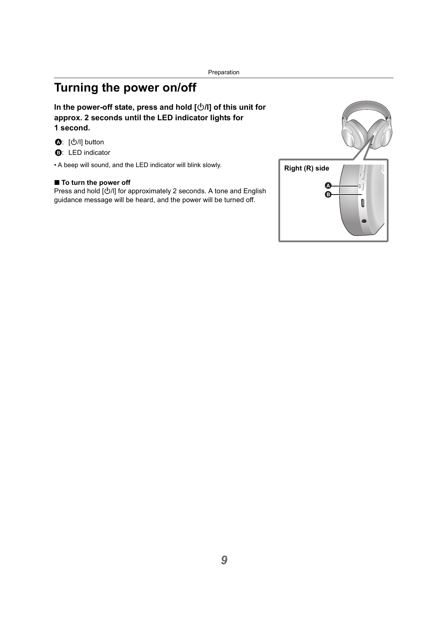## <span id="page-8-0"></span>**Turning the power on/off**

### In the power-off state, press and hold  $[\bigcirc\theta]$  of this unit for **approx. 2 seconds until the LED indicator lights for 1 second.**

- **❹**: [少/l] button
- **B:** LED indicator

• A beep will sound, and the LED indicator will blink slowly.

### ■ To turn the power off

Press and hold  $[\bigcirc\!/\!\!/]$  for approximately 2 seconds. A tone and English guidance message will be heard, and the power will be turned off.

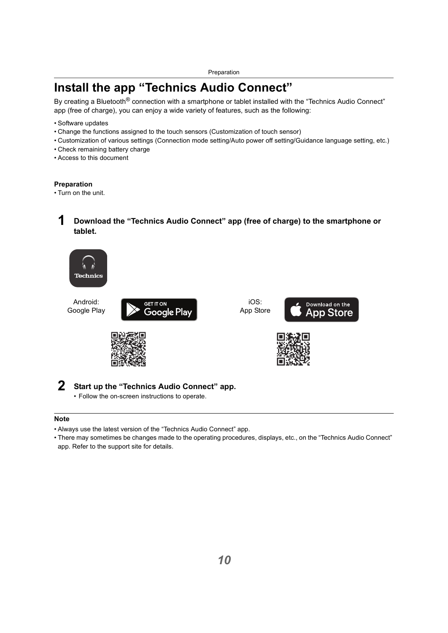## <span id="page-9-0"></span>**Install the app "Technics Audio Connect"**

By creating a Bluetooth<sup>®</sup> connection with a smartphone or tablet installed with the "Technics Audio Connect" app (free of charge), you can enjoy a wide variety of features, such as the following:

- Software updates
- Change the functions assigned to the touch sensors (Customization of touch sensor)
- Customization of various settings (Connection mode setting/Auto power off setting/Guidance language setting, etc.)
- Check remaining battery charge
- Access to this document

### **Preparation**

• Turn on the unit.

### **1 Download the "Technics Audio Connect" app (free of charge) to the smartphone or tablet.**



Android: Google Play



iOS: App Store







### **2 Start up the "Technics Audio Connect" app.**

• Follow the on-screen instructions to operate.

- Always use the latest version of the "Technics Audio Connect" app.
- There may sometimes be changes made to the operating procedures, displays, etc., on the "Technics Audio Connect" app. Refer to the support site for details.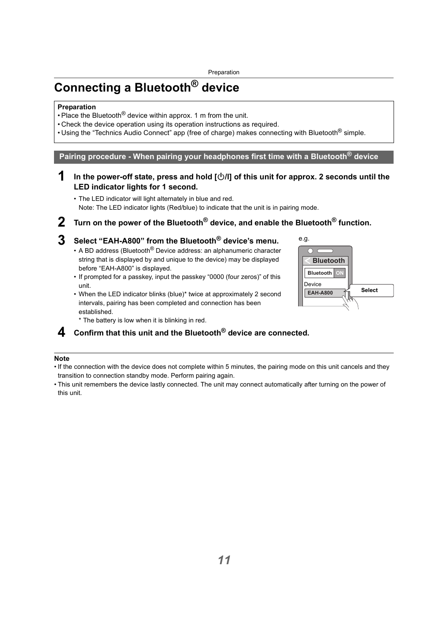## <span id="page-10-0"></span>**Connecting a Bluetooth® device**

### **Preparation**

- Place the Bluetooth<sup>®</sup> device within approx. 1 m from the unit.
- Check the device operation using its operation instructions as required.
- Using the "Technics Audio Connect" app (free of charge) makes connecting with Bluetooth<sup>®</sup> simple.

<span id="page-10-1"></span>**Pairing procedure - When pairing your headphones first time with a Bluetooth® device**

**1 In the power-off state, press and hold [**Í**/l] of this unit for approx. 2 seconds until the LED indicator lights for 1 second.**

• The LED indicator will light alternately in blue and red. Note: The LED indicator lights (Red/blue) to indicate that the unit is in pairing mode.

**2 Turn on the power of the Bluetooth® device, and enable the Bluetooth® function.**

## **3 Select "EAH-A800" from the Bluetooth® device's menu.**

- A BD address (Bluetooth $^{\circledR}$  Device address: an alphanumeric character string that is displayed by and unique to the device) may be displayed before "EAH-A800" is displayed.
- If prompted for a passkey, input the passkey "0000 (four zeros)" of this unit.
- When the LED indicator blinks (blue)\* twice at approximately 2 second intervals, pairing has been completed and connection has been established.



\* The battery is low when it is blinking in red.

### **4 Confirm that this unit and the Bluetooth® device are connected.**

- If the connection with the device does not complete within 5 minutes, the pairing mode on this unit cancels and they transition to connection standby mode. Perform pairing again.
- This unit remembers the device lastly connected. The unit may connect automatically after turning on the power of this unit.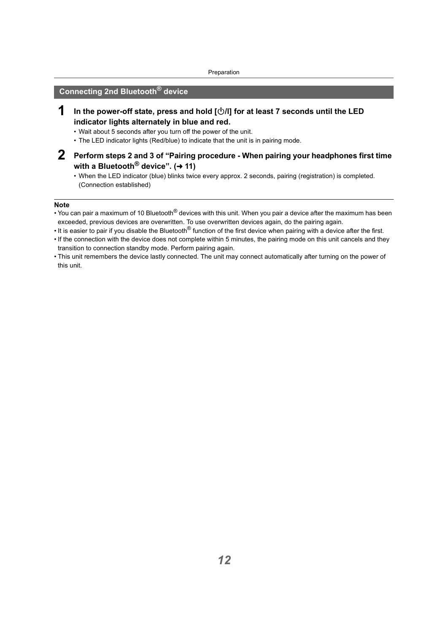### <span id="page-11-0"></span>**Connecting 2nd Bluetooth® device**

- **1 In the power-off state, press and hold [**Í**/l] for at least 7 seconds until the LED indicator lights alternately in blue and red.**
	- Wait about 5 seconds after you turn off the power of the unit.
	- The LED indicator lights (Red/blue) to indicate that the unit is in pairing mode.
- **2 Perform steps 2 and 3 of "Pairing procedure When pairing your headphones first time with a Bluetooth<sup>®</sup> device". (→ [11\)](#page-10-1)** 
	- When the LED indicator (blue) blinks twice every approx. 2 seconds, pairing (registration) is completed. (Connection established)

- You can pair a maximum of 10 Bluetooth® devices with this unit. When you pair a device after the maximum has been exceeded, previous devices are overwritten. To use overwritten devices again, do the pairing again.
- It is easier to pair if you disable the Bluetooth<sup>®</sup> function of the first device when pairing with a device after the first.
- If the connection with the device does not complete within 5 minutes, the pairing mode on this unit cancels and they transition to connection standby mode. Perform pairing again.
- This unit remembers the device lastly connected. The unit may connect automatically after turning on the power of this unit.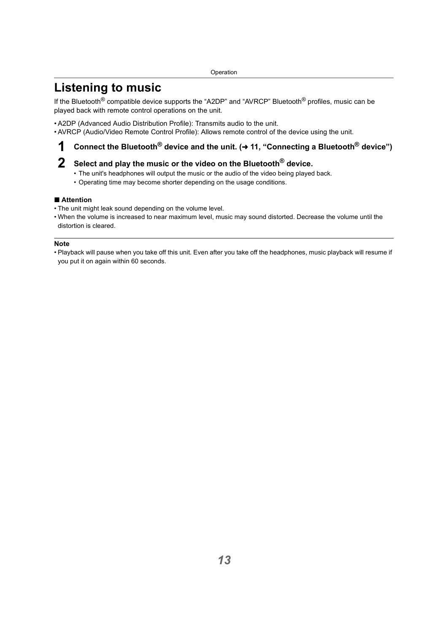## <span id="page-12-1"></span><span id="page-12-0"></span>**Listening to music**

If the Bluetooth<sup>®</sup> compatible device supports the "A2DP" and "AVRCP" Bluetooth<sup>®</sup> profiles, music can be played back with remote control operations on the unit.

- A2DP (Advanced Audio Distribution Profile): Transmits audio to the unit.
- AVRCP (Audio/Video Remote Control Profile): Allows remote control of the device using the unit.

## **1** Connect the Bluetooth<sup>®</sup> device and the unit. (→ 11, "Connecting a Bluetooth<sup>®</sup> device")

## **2 Select and play the music or the video on the Bluetooth® device.**

- The unit's headphones will output the music or the audio of the video being played back.
- Operating time may become shorter depending on the usage conditions.

### ∫ **Attention**

- The unit might leak sound depending on the volume level.
- When the volume is increased to near maximum level, music may sound distorted. Decrease the volume until the distortion is cleared.

#### **Note**

• Playback will pause when you take off this unit. Even after you take off the headphones, music playback will resume if you put it on again within 60 seconds.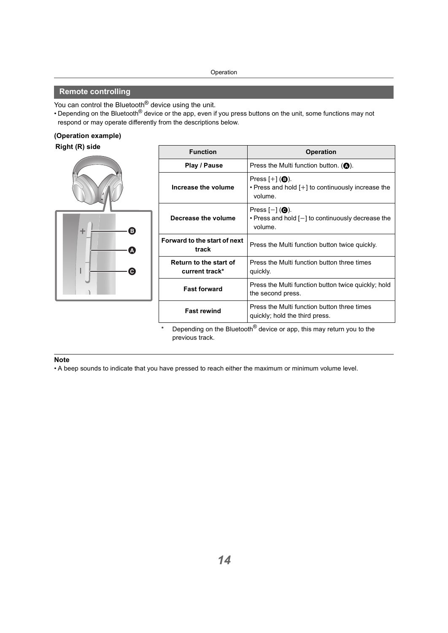### <span id="page-13-0"></span>**Remote controlling**

You can control the Bluetooth<sup>®</sup> device using the unit.

• Depending on the Bluetooth<sup>®</sup> device or the app, even if you press buttons on the unit, some functions may not respond or may operate differently from the descriptions below.

#### **(Operation example)**

### **Right (R) side**



| <b>Function</b>                          | <b>Operation</b>                                                                                                |
|------------------------------------------|-----------------------------------------------------------------------------------------------------------------|
| Play / Pause                             | Press the Multi function button. $($ <sup>0</sup> .                                                             |
| Increase the volume                      | Press $[+]$ ( <b>B</b> ).<br>• Press and hold [+] to continuously increase the<br>volume.                       |
| Decrease the volume                      | Press $[-]$ ( $\bigcirc$ ).<br>$\cdot$ Press and hold $\lceil - \rceil$ to continuously decrease the<br>volume. |
| Forward to the start of next<br>track    | Press the Multi function button twice quickly.                                                                  |
| Return to the start of<br>current track* | Press the Multi function button three times<br>quickly.                                                         |
| <b>Fast forward</b>                      | Press the Multi function button twice quickly; hold<br>the second press.                                        |
| <b>Fast rewind</b>                       | Press the Multi function button three times<br>quickly; hold the third press.                                   |

Depending on the Bluetooth<sup>®</sup> device or app, this may return you to the previous track.

#### **Note**

• A beep sounds to indicate that you have pressed to reach either the maximum or minimum volume level.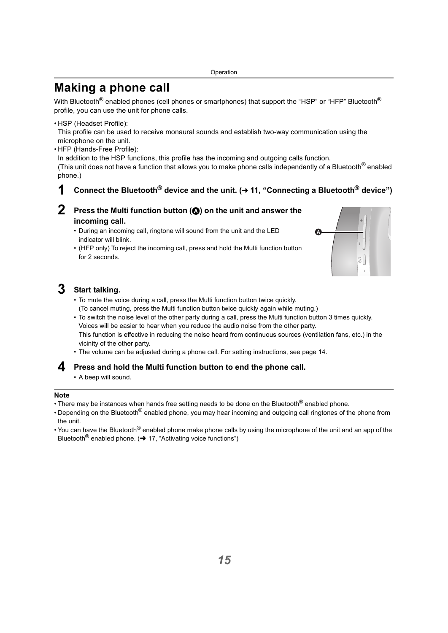## <span id="page-14-0"></span>**Making a phone call**

With Bluetooth<sup>®</sup> enabled phones (cell phones or smartphones) that support the "HSP" or "HFP" Bluetooth<sup>®</sup> profile, you can use the unit for phone calls.

• HSP (Headset Profile):

This profile can be used to receive monaural sounds and establish two-way communication using the microphone on the unit.

• HFP (Hands-Free Profile):

In addition to the HSP functions, this profile has the incoming and outgoing calls function.

(This unit does not have a function that allows you to make phone calls independently of a Bluetooth<sup>®</sup> enabled phone.)

### **1** Connect the Bluetooth<sup>®</sup> device and the unit. (→ 11, "Connecting a Bluetooth<sup>®</sup> device")

- **Press the Multi function button (** $\odot$ **) on the unit and answer the incoming call.**
	- During an incoming call, ringtone will sound from the unit and the LED indicator will blink.
	- (HFP only) To reject the incoming call, press and hold the Multi function button for 2 seconds.



## **3 Start talking.**

- To mute the voice during a call, press the Multi function button twice quickly. (To cancel muting, press the Multi function button twice quickly again while muting.)
- To switch the noise level of the other party during a call, press the Multi function button 3 times quickly. Voices will be easier to hear when you reduce the audio noise from the other party. This function is effective in reducing the noise heard from continuous sources (ventilation fans, etc.) in the vicinity of the other party.
- The volume can be adjusted during a phone call. For setting instructions, see page [14](#page-13-0).

### **4 Press and hold the Multi function button to end the phone call.**

• A beep will sound.

- There may be instances when hands free setting needs to be done on the Bluetooth<sup>®</sup> enabled phone.
- Depending on the Bluetooth<sup>®</sup> enabled phone, you may hear incoming and outgoing call ringtones of the phone from the unit.
- You can have the Bluetooth<sup>®</sup> enabled phone make phone calls by using the microphone of the unit and an app of the Bluetooth<sup>®</sup> enabled phone. ( $\rightarrow$  [17, "Activating voice functions"\)](#page-16-2)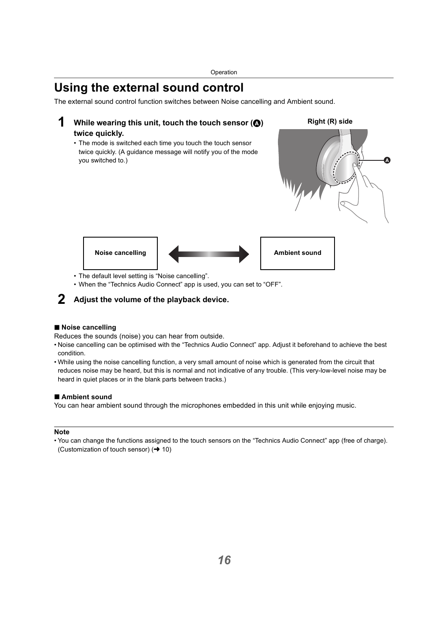## <span id="page-15-0"></span>**Using the external sound control**

The external sound control function switches between Noise cancelling and Ambient sound.

### **1** While wearing this unit, touch the touch sensor ( $\textcircled{a}$ ) **twice quickly.**

• The mode is switched each time you touch the touch sensor twice quickly. (A guidance message will notify you of the mode you switched to.)





- The default level setting is "Noise cancelling".
- When the "Technics Audio Connect" app is used, you can set to "OFF".

### **2 Adjust the volume of the playback device.**

### ∫ **Noise cancelling**

Reduces the sounds (noise) you can hear from outside.

- Noise cancelling can be optimised with the "Technics Audio Connect" app. Adjust it beforehand to achieve the best condition.
- While using the noise cancelling function, a very small amount of noise which is generated from the circuit that reduces noise may be heard, but this is normal and not indicative of any trouble. (This very-low-level noise may be heard in quiet places or in the blank parts between tracks.)

### ∫ **Ambient sound**

You can hear ambient sound through the microphones embedded in this unit while enjoying music.

#### **Note**

• You can change the functions assigned to the touch sensors on the "Technics Audio Connect" app (free of charge). (Customization of touch sensor)  $($   $\rightarrow$  [10\)](#page-9-0)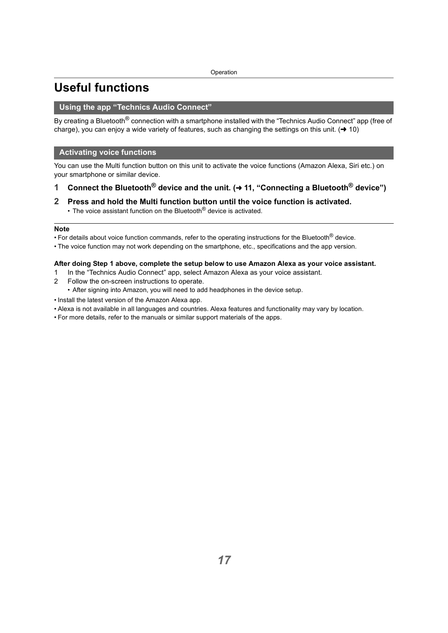## <span id="page-16-0"></span>**Useful functions**

### <span id="page-16-1"></span>**Using the app "Technics Audio Connect"**

By creating a Bluetooth<sup>®</sup> connection with a smartphone installed with the "Technics Audio Connect" app (free of charge), you can enjoy a wide variety of features, such as changing the settings on this unit.  $(\rightarrow 10)$  $(\rightarrow 10)$ 

### <span id="page-16-2"></span>**Activating voice functions**

You can use the Multi function button on this unit to activate the voice functions (Amazon Alexa, Siri etc.) on your smartphone or similar device.

- **1 Connect the Bluetooth® device and the unit. (**<sup>l</sup> **[11, "Connecting a Bluetooth® device"\)](#page-10-0)**
- **2 Press and hold the Multi function button until the voice function is activated.**
	- The voice assistant function on the Bluetooth $^{\circledR}$  device is activated.

#### **Note**

• For details about voice function commands, refer to the operating instructions for the Bluetooth<sup>®</sup> device.

• The voice function may not work depending on the smartphone, etc., specifications and the app version.

### **After doing Step 1 above, complete the setup below to use Amazon Alexa as your voice assistant.**

- 1 In the "Technics Audio Connect" app, select Amazon Alexa as your voice assistant.
- 2 Follow the on-screen instructions to operate.
	- After signing into Amazon, you will need to add headphones in the device setup.
- Install the latest version of the Amazon Alexa app.
- Alexa is not available in all languages and countries. Alexa features and functionality may vary by location.
- For more details, refer to the manuals or similar support materials of the apps.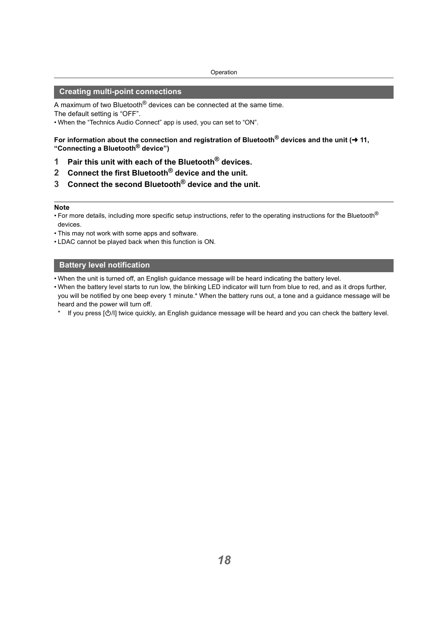### <span id="page-17-0"></span>**Creating multi-point connections**

A maximum of two Bluetooth<sup>®</sup> devices can be connected at the same time. The default setting is "OFF".

• When the "Technics Audio Connect" app is used, you can set to "ON".

For information about the connection and registration of Bluetooth<sup>®</sup> devices and the unit (→ 11, **["Connecting a Bluetooth](#page-10-0)® device")**

- **1 Pair this unit with each of the Bluetooth® devices.**
- **2 Connect the first Bluetooth® device and the unit.**
- **3 Connect the second Bluetooth® device and the unit.**

#### **Note**

- For more details, including more specific setup instructions, refer to the operating instructions for the Bluetooth<sup>®</sup> devices.
- This may not work with some apps and software.
- LDAC cannot be played back when this function is ON.

### <span id="page-17-1"></span>**Battery level notification**

- When the unit is turned off, an English guidance message will be heard indicating the battery level.
- When the battery level starts to run low, the blinking LED indicator will turn from blue to red, and as it drops further, you will be notified by one beep every 1 minute.\* When the battery runs out, a tone and a guidance message will be heard and the power will turn off.
	- If you press  $[\bigcirc/II]$  twice quickly, an English guidance message will be heard and you can check the battery level.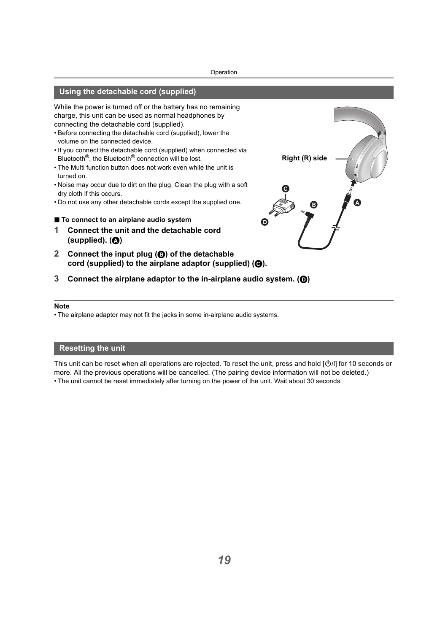### <span id="page-18-0"></span>**Using the detachable cord (supplied)**

While the power is turned off or the battery has no remaining charge, this unit can be used as normal headphones by connecting the detachable cord (supplied).

- Before connecting the detachable cord (supplied), lower the volume on the connected device.
- If you connect the detachable cord (supplied) when connected via Bluetooth®, the Bluetooth® connection will be lost.
- The Multi function button does not work even while the unit is turned on.
- Noise may occur due to dirt on the plug. Clean the plug with a soft dry cloth if this occurs.
- Do not use any other detachable cords except the supplied one.
- ∫ **To connect to an airplane audio system**
- **1 Connect the unit and the detachable cord (supplied). (**A**)**
- **2 Connect the input plug (**B**) of the detachable**  cord (supplied) to the airplane adaptor (supplied) ( $\Theta$ ).
- **3 Connect the airplane adaptor to the in-airplane audio system. (**D**)**

#### **Note**

• The airplane adaptor may not fit the jacks in some in-airplane audio systems.

### <span id="page-18-1"></span>**Resetting the unit**

This unit can be reset when all operations are rejected. To reset the unit, press and hold [O/l] for 10 seconds or more. All the previous operations will be cancelled. (The pairing device information will not be deleted.) • The unit cannot be reset immediately after turning on the power of the unit. Wait about 30 seconds.

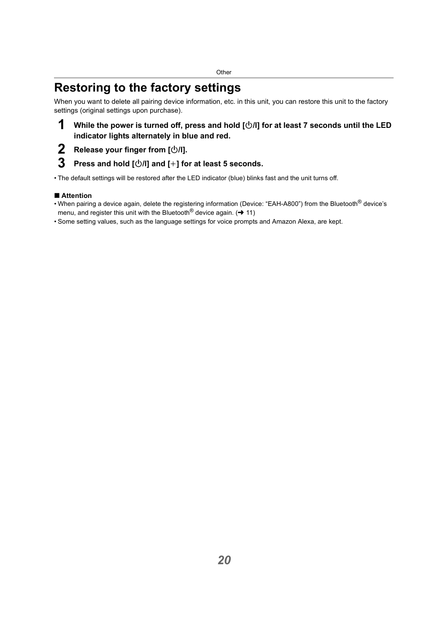## <span id="page-19-1"></span><span id="page-19-0"></span>**Restoring to the factory settings**

When you want to delete all pairing device information, etc. in this unit, you can restore this unit to the factory settings (original settings upon purchase).

## **1** While the power is turned off, press and hold  $[\bigcirc\!/\!\!/]$  for at least 7 seconds until the LED **indicator lights alternately in blue and red.**

**2 Release your finger from**  $\lfloor \frac{(\cdot)}{(\cdot)} \rfloor$ **.<br><b>3** Press and hold  $\lceil \frac{(\cdot)}{(\cdot)} \rceil \rceil$  and  $\lceil +1 \rceil \rceil \rceil$ 

### **3 Press and hold [**Í**/l] and [**i**] for at least 5 seconds.**

• The default settings will be restored after the LED indicator (blue) blinks fast and the unit turns off.

### ∫ **Attention**

- When pairing a device again, delete the registering information (Device: "EAH-A800") from the Bluetooth® device's menu, and register this unit with the Bluetooth<sup>®</sup> device again. ( $\rightarrow$  [11\)](#page-10-1)
- Some setting values, such as the language settings for voice prompts and Amazon Alexa, are kept.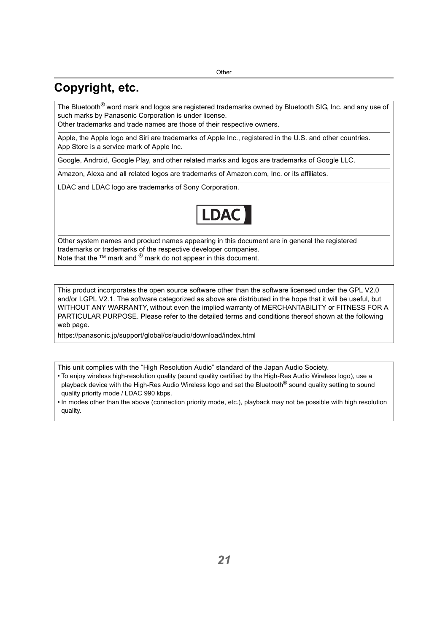## <span id="page-20-0"></span>**Copyright, etc.**

The Bluetooth<sup>®</sup> word mark and logos are registered trademarks owned by Bluetooth SIG, Inc. and any use of such marks by Panasonic Corporation is under license.

Other trademarks and trade names are those of their respective owners.

Apple, the Apple logo and Siri are trademarks of Apple Inc., registered in the U.S. and other countries. App Store is a service mark of Apple Inc.

Google, Android, Google Play, and other related marks and logos are trademarks of Google LLC.

Amazon, Alexa and all related logos are trademarks of Amazon com, Inc. or its affiliates.

LDAC and LDAC logo are trademarks of Sony Corporation.



Other system names and product names appearing in this document are in general the registered trademarks or trademarks of the respective developer companies. Note that the ™ mark and <sup>®</sup> mark do not appear in this document.

This product incorporates the open source software other than the software licensed under the GPL V2.0 and/or LGPL V2.1. The software categorized as above are distributed in the hope that it will be useful, but WITHOUT ANY WARRANTY, without even the implied warranty of MERCHANTABILITY or FITNESS FOR A PARTICULAR PURPOSE. Please refer to the detailed terms and conditions thereof shown at the following web page.

https://panasonic.jp/support/global/cs/audio/download/index.html

This unit complies with the "High Resolution Audio" standard of the Japan Audio Society.

- To enjoy wireless high-resolution quality (sound quality certified by the High-Res Audio Wireless logo), use a playback device with the High-Res Audio Wireless logo and set the Bluetooth<sup>®</sup> sound quality setting to sound quality priority mode / LDAC 990 kbps.
- In modes other than the above (connection priority mode, etc.), playback may not be possible with high resolution quality.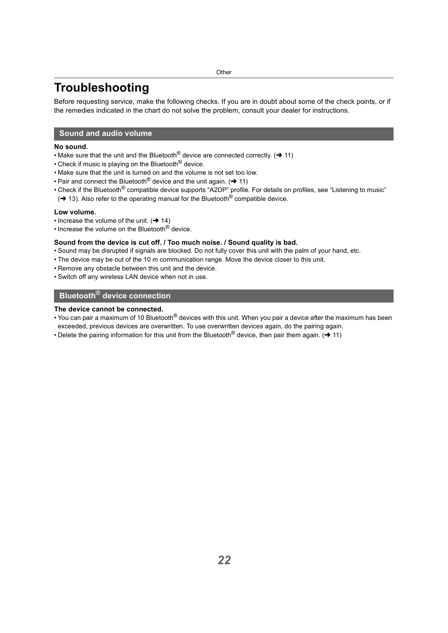## <span id="page-21-0"></span>**Troubleshooting**

Before requesting service, make the following checks. If you are in doubt about some of the check points, or if the remedies indicated in the chart do not solve the problem, consult your dealer for instructions.

### <span id="page-21-1"></span>**Sound and audio volume**

### **No sound.**

- Make sure that the unit and the Bluetooth<sup>®</sup> device are connected correctly. ( $\rightarrow$  [11\)](#page-10-0)
- Check if music is playing on the Bluetooth<sup>®</sup> device.
- Make sure that the unit is turned on and the volume is not set too low.
- Pair and connect the Bluetooth<sup>®</sup> device and the unit again. ( $\rightarrow$  [11\)](#page-10-0)
- Check if the Bluetooth<sup>®</sup> compatible device supports "A2DP" profile. For details on profiles, see ["Listening to music"](#page-12-1)
- $\rightarrow$  [13\).](#page-12-1) Also refer to the operating manual for the Bluetooth<sup>®</sup> compatible device.

#### **Low volume.**

- Increase the volume of the unit.  $( \rightarrow 14)$  $( \rightarrow 14)$
- Increase the volume on the Bluetooth® device.

### **Sound from the device is cut off. / Too much noise. / Sound quality is bad.**

- Sound may be disrupted if signals are blocked. Do not fully cover this unit with the palm of your hand, etc.
- The device may be out of the 10 m communication range. Move the device closer to this unit.
- Remove any obstacle between this unit and the device.
- Switch off any wireless LAN device when not in use.

### <span id="page-21-2"></span>**Bluetooth® device connection**

#### **The device cannot be connected.**

- You can pair a maximum of 10 Bluetooth<sup>®</sup> devices with this unit. When you pair a device after the maximum has been exceeded, previous devices are overwritten. To use overwritten devices again, do the pairing again.
- Delete the pairing information for this unit from the Bluetooth<sup>®</sup> device, then pair them again. ( $\rightarrow$  [11\)](#page-10-0)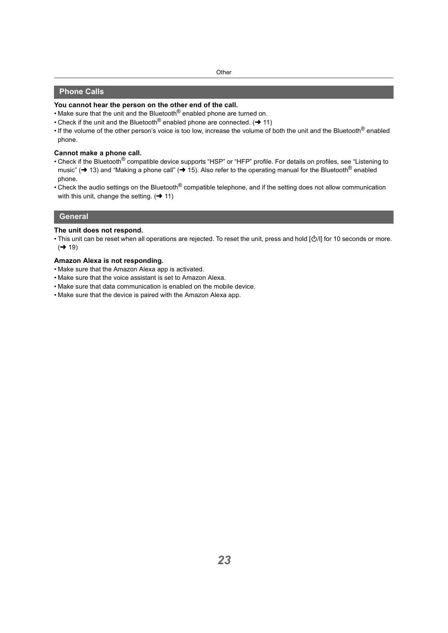### <span id="page-22-0"></span>**Phone Calls**

### **You cannot hear the person on the other end of the call.**

- Make sure that the unit and the Bluetooth<sup>®</sup> enabled phone are turned on.
- Check if the unit and the Bluetooth<sup>®</sup> enabled phone are connected.  $\rightarrow$  [11\)](#page-10-0)
- If the volume of the other person's voice is too low, increase the volume of both the unit and the Bluetooth<sup>®</sup> enabled phone.

### **Cannot make a phone call.**

- Check if the Bluetooth<sup>®</sup> compatible device supports "HSP" or "HFP" profile. For details on profiles, see "Listening to [music"](#page-12-1) ( $\rightarrow$  [13\)](#page-12-1) and ["Making a phone call"](#page-14-0) ( $\rightarrow$  [15\)](#page-14-0). Also refer to the operating manual for the Bluetooth® enabled phone.
- Check the audio settings on the Bluetooth<sup>®</sup> compatible telephone, and if the setting does not allow communication with this unit, change the setting.  $(\rightarrow 11)$  $(\rightarrow 11)$

### <span id="page-22-1"></span>**General**

#### **The unit does not respond.**

• This unit can be reset when all operations are rejected. To reset the unit, press and hold [O/l] for 10 seconds or more.  $\left(\rightarrow 19\right)$ 

#### **Amazon Alexa is not responding.**

- Make sure that the Amazon Alexa app is activated.
- Make sure that the voice assistant is set to Amazon Alexa.
- Make sure that data communication is enabled on the mobile device.
- Make sure that the device is paired with the Amazon Alexa app.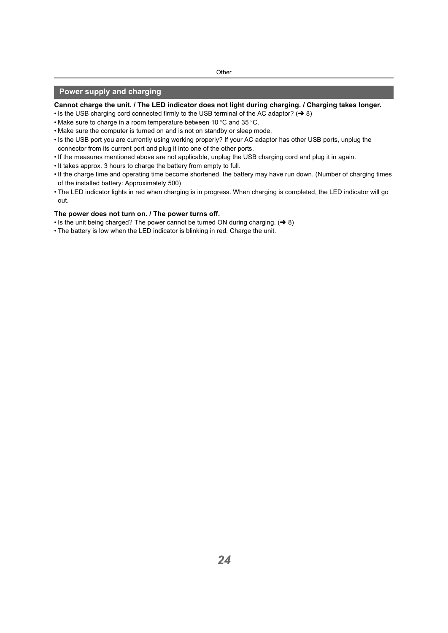### <span id="page-23-0"></span>**Power supply and charging**

#### **Cannot charge the unit. / The LED indicator does not light during charging. / Charging takes longer.**

- Is the USB charging cord connected firm[l](#page-7-1)y to the USB terminal of the AC adaptor?  $( \rightarrow 8)$
- Make sure to charge in a room temperature between 10  $\degree$ C and 35  $\degree$ C.
- Make sure the computer is turned on and is not on standby or sleep mode.
- Is the USB port you are currently using working properly? If your AC adaptor has other USB ports, unplug the connector from its current port and plug it into one of the other ports.
- If the measures mentioned above are not applicable, unplug the USB charging cord and plug it in again.
- It takes approx. 3 hours to charge the battery from empty to full.
- If the charge time and operating time become shortened, the battery may have run down. (Number of charging times of the installed battery: Approximately 500)
- The LED indicator lights in red when charging is in progress. When charging is completed, the LED indicator will go out.

#### **The power does not turn on. / The power turns off.**

- Is the unit being charged? The power cannot be turned ON during charging.  $\rightarrow$  8)
- The battery is low when the LED indicator is blinking in red. Charge the unit.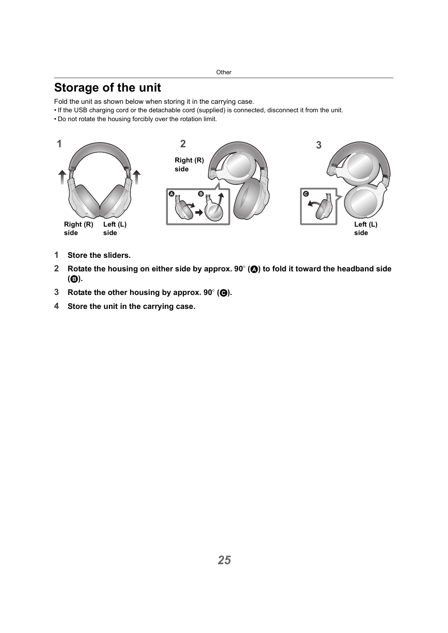## <span id="page-24-0"></span>**Storage of the unit**

Fold the unit as shown below when storing it in the carrying case.

- If the USB charging cord or the detachable cord (supplied) is connected, disconnect it from the unit.
- Do not rotate the housing forcibly over the rotation limit.



- **1 Store the sliders.**
- **2 Rotate the housing on either side by approx. 90° (@) to fold it toward the headband side (**B**).**
- **3 Rotate the other housing by approx. 90° (** $\Theta$ **).**
- **4 Store the unit in the carrying case.**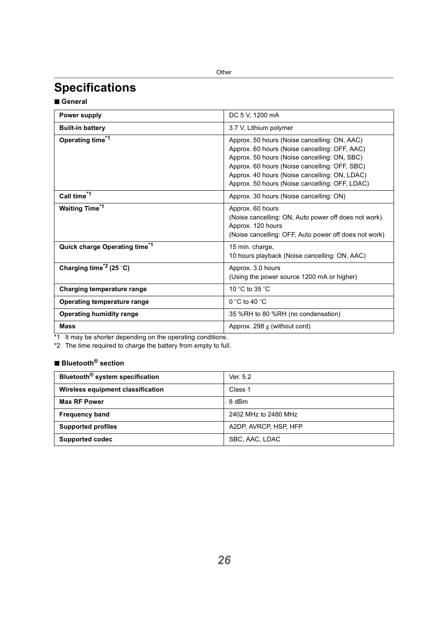## <span id="page-25-0"></span>**Specifications**

∫ **General**

| Power supply                                    | DC 5 V, 1200 mA                                                                                                                                                                                                                                                                                   |
|-------------------------------------------------|---------------------------------------------------------------------------------------------------------------------------------------------------------------------------------------------------------------------------------------------------------------------------------------------------|
| <b>Built-in battery</b>                         | 3.7 V, Lithium polymer                                                                                                                                                                                                                                                                            |
| Operating time <sup>*1</sup>                    | Approx. 50 hours (Noise cancelling: ON, AAC)<br>Approx. 60 hours (Noise cancelling: OFF, AAC)<br>Approx. 50 hours (Noise cancelling: ON, SBC)<br>Approx. 60 hours (Noise cancelling: OFF, SBC)<br>Approx. 40 hours (Noise cancelling: ON, LDAC)<br>Approx. 50 hours (Noise cancelling: OFF, LDAC) |
| Call time <sup>*1</sup>                         | Approx. 30 hours (Noise cancelling: ON)                                                                                                                                                                                                                                                           |
| <b>Waiting Time<sup>*1</sup></b>                | Approx. 60 hours<br>(Noise cancelling: ON, Auto power off does not work)<br>Approx. 120 hours<br>(Noise cancelling: OFF, Auto power off does not work)                                                                                                                                            |
| Quick charge Operating time*1                   | 15 min. charge,<br>10 hours playback (Noise cancelling: ON, AAC)                                                                                                                                                                                                                                  |
| Charging time <sup><math>2</math></sup> (25 °C) | Approx. 3.0 hours<br>(Using the power source 1200 mA or higher)                                                                                                                                                                                                                                   |
| Charging temperature range                      | 10 °C to 35 °C                                                                                                                                                                                                                                                                                    |
| Operating temperature range                     | $0^{\circ}$ C to 40 $^{\circ}$ C                                                                                                                                                                                                                                                                  |
| Operating humidity range                        | 35 %RH to 80 %RH (no condensation)                                                                                                                                                                                                                                                                |
| <b>Mass</b>                                     | Approx. 298 $g$ (without cord)                                                                                                                                                                                                                                                                    |

\*1 It may be shorter depending on the operating conditions.

\*2 The time required to charge the battery from empty to full.

## ∫ **Bluetooth® section**

| Bluetooth <sup>®</sup> system specification | Ver. 5.2              |
|---------------------------------------------|-----------------------|
| Wireless equipment classification           | Class 1               |
| <b>Max RF Power</b>                         | 8 dBm                 |
| <b>Frequency band</b>                       | 2402 MHz to 2480 MHz  |
| <b>Supported profiles</b>                   | A2DP, AVRCP, HSP, HFP |
| <b>Supported codec</b>                      | SBC, AAC, LDAC        |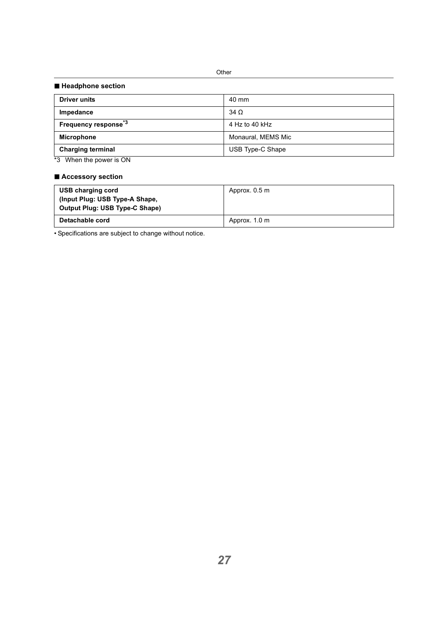#### ∫ **Headphone section**

| <b>Driver units</b>              | 40 mm              |
|----------------------------------|--------------------|
| Impedance                        | $34\Omega$         |
| Frequency response <sup>*3</sup> | 4 Hz to 40 kHz     |
| Microphone                       | Monaural, MEMS Mic |
| <b>Charging terminal</b>         | USB Type-C Shape   |
| .                                |                    |

\*3 When the power is ON

### ∫ **Accessory section**

| USB charging cord<br>(Input Plug: USB Type-A Shape,<br>Output Plug: USB Type-C Shape) | Approx. 0.5 m |
|---------------------------------------------------------------------------------------|---------------|
| Detachable cord                                                                       | Approx. 1.0 m |

• Specifications are subject to change without notice.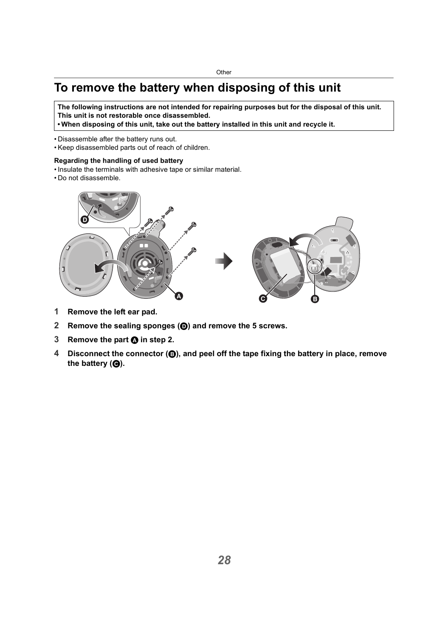## <span id="page-27-0"></span>**To remove the battery when disposing of this unit**

**The following instructions are not intended for repairing purposes but for the disposal of this unit. This unit is not restorable once disassembled.**

**• When disposing of this unit, take out the battery installed in this unit and recycle it.**

- Disassemble after the battery runs out.
- Keep disassembled parts out of reach of children.

### **Regarding the handling of used battery**

- Insulate the terminals with adhesive tape or similar material.
- Do not disassemble.



- **1 Remove the left ear pad.**
- **2 Remove the sealing sponges (**D**) and remove the 5 screws.**
- **3 Remove the part <b>A** in step 2.
- **4 Disconnect the connector (**B**), and peel off the tape fixing the battery in place, remove**  the battery (**@**).